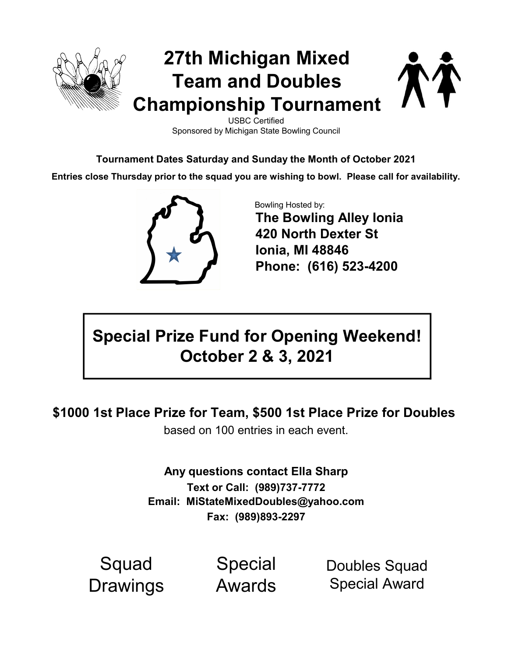

USBC Certified Sponsored by Michigan State Bowling Council

Tournament Dates Saturday and Sunday the Month of October 2021

Entries close Thursday prior to the squad you are wishing to bowl. Please call for availability.



Bowling Hosted by: The Bowling Alley Ionia 420 North Dexter St Ionia, MI 48846 Phone: (616) 523-4200

# Special Prize Fund for Opening Weekend! October 2 & 3, 2021

\$1000 1st Place Prize for Team, \$500 1st Place Prize for Doubles

based on 100 entries in each event.

Text or Call: (989)737-7772 Email: MiStateMixedDoubles@yahoo.com Any questions contact Ella Sharp Fax: (989)893-2297

**Squad Drawings** 

Special Awards

Doubles Squad Special Award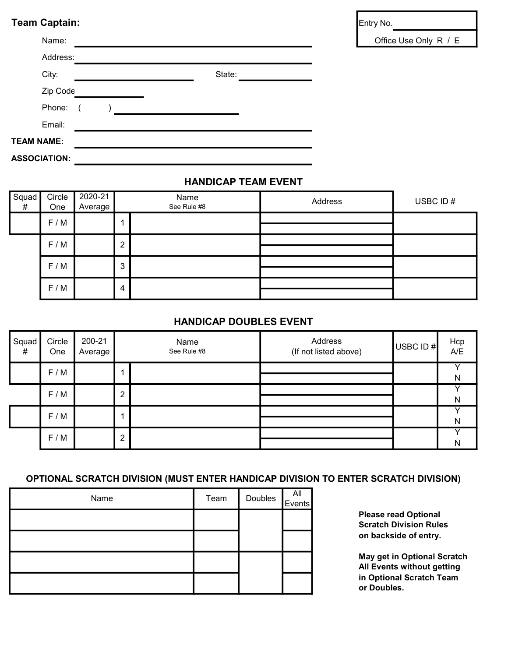# Team Captain: Entry No.

|                     | Name:    |        | Office Us |
|---------------------|----------|--------|-----------|
|                     | Address: |        |           |
|                     | City:    | State: |           |
|                     | Zip Code |        |           |
|                     | Phone:   |        |           |
|                     | Email:   |        |           |
| <b>TEAM NAME:</b>   |          |        |           |
| <b>ASSOCIATION:</b> |          |        |           |

### HANDICAP TEAM EVENT

| Squad<br># | Circle<br>One | 2020-21<br>Average | Name<br>See Rule #8 |  | Address | USBC ID# |
|------------|---------------|--------------------|---------------------|--|---------|----------|
|            | F/M           |                    | и                   |  |         |          |
|            | F/M           |                    | 2                   |  |         |          |
|            | F/M           |                    | 3                   |  |         |          |
|            | F/M           |                    | 4                   |  |         |          |

### HANDICAP DOUBLES EVENT

| Squad<br># | Circle<br>One | 200-21<br>Average | Name<br>See Rule #8 |  | Address<br>(If not listed above) |  | USBC ID #    | Hcp<br>A/E |
|------------|---------------|-------------------|---------------------|--|----------------------------------|--|--------------|------------|
|            | F/M           |                   | 1                   |  |                                  |  | N            |            |
|            | F/M           |                   | $\overline{2}$      |  |                                  |  | N            |            |
|            | F/M           |                   | 1                   |  |                                  |  | N            |            |
|            | F/M           |                   | $\overline{2}$      |  |                                  |  | $\mathsf{N}$ |            |

# OPTIONAL SCRATCH DIVISION (MUST ENTER HANDICAP DIVISION TO ENTER SCRATCH DIVISION)

| Name | Team | Doubles <b>All</b> |  |
|------|------|--------------------|--|
|      |      |                    |  |
|      |      |                    |  |
|      |      |                    |  |
|      |      |                    |  |

Please read Optional Scratch Division Rules on backside of entry.

May get in Optional Scratch All Events without getting in Optional Scratch Team or Doubles.

e Only R / E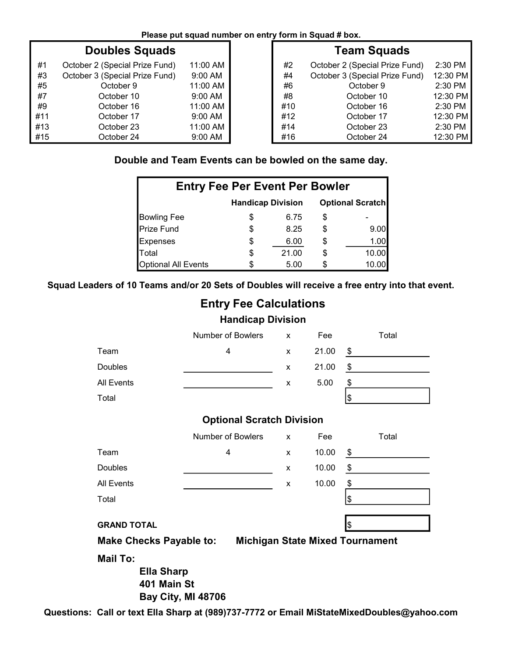|  |  |  | Please put squad number on entry form in Squad # box. |  |  |
|--|--|--|-------------------------------------------------------|--|--|
|--|--|--|-------------------------------------------------------|--|--|

|     | <b>Doubles Squads</b>          |                     |     | <b>Team Squads</b>             |           |
|-----|--------------------------------|---------------------|-----|--------------------------------|-----------|
| #1  | October 2 (Special Prize Fund) | 11:00 AM            | #2  | October 2 (Special Prize Fund) | $2:30$ PM |
| #3  | October 3 (Special Prize Fund) | $9:00$ AM           | #4  | October 3 (Special Prize Fund) | 12:30 PM  |
| #5  | October 9                      | 11:00 AM            | #6  | October 9                      | $2:30$ PM |
| #7  | October 10                     | $9:00 \, \text{AM}$ | #8  | October 10                     | 12:30 PM  |
| #9  | October 16                     | 11:00 AM            | #10 | October 16                     | $2:30$ PM |
| #11 | October 17                     | $9:00$ AM           | #12 | October 17                     | 12:30 PM  |
| #13 | October 23                     | 11:00 AM            | #14 | October 23                     | 2:30 PM   |
| #15 | October 24                     | $9:00$ AM           | #16 | October 24                     | 12:30 PM  |

# Team Squads

| #2  | October 2 (Special Prize Fund) | $2:30$ PM |
|-----|--------------------------------|-----------|
| #4  | October 3 (Special Prize Fund) | 12:30 PM  |
| #6  | October 9                      | 2:30 PM   |
| #8  | October 10                     | 12:30 PM  |
| #10 | October 16                     | 2:30 PM   |
| #12 | October 17                     | 12:30 PM  |
| #14 | October 23                     | 2:30 PM   |
| #16 | October 24                     | 12:30 PM  |

# Double and Team Events can be bowled on the same day.

| <b>Entry Fee Per Event Per Bowler</b>               |    |       |    |       |  |  |  |
|-----------------------------------------------------|----|-------|----|-------|--|--|--|
| <b>Optional Scratch</b><br><b>Handicap Division</b> |    |       |    |       |  |  |  |
| <b>Bowling Fee</b>                                  | S  | 6.75  | S  |       |  |  |  |
| <b>Prize Fund</b>                                   | \$ | 8.25  | \$ | 9.00  |  |  |  |
| <b>Expenses</b>                                     | \$ | 6.00  | \$ | 1.00  |  |  |  |
| Total                                               | S  | 21.00 | \$ | 10.00 |  |  |  |
| <b>Optional All Events</b>                          | S. | 5.00  |    |       |  |  |  |

Squad Leaders of 10 Teams and/or 20 Sets of Doubles will receive a free entry into that event.

|                                                     | <b>Entry Fee Calculations</b>                                              |   |       |               |       |
|-----------------------------------------------------|----------------------------------------------------------------------------|---|-------|---------------|-------|
|                                                     | <b>Handicap Division</b>                                                   |   |       |               |       |
|                                                     | Number of Bowlers                                                          | X | Fee   |               | Total |
| Team                                                | 4                                                                          | X | 21.00 | \$            |       |
| Doubles                                             |                                                                            | X | 21.00 | $\frac{1}{2}$ |       |
| <b>All Events</b>                                   |                                                                            | X | 5.00  | \$            |       |
| Total                                               |                                                                            |   |       | \$            |       |
|                                                     | <b>Optional Scratch Division</b>                                           |   |       |               |       |
|                                                     | Number of Bowlers                                                          | x | Fee   |               | Total |
| Team                                                | 4                                                                          | X | 10.00 | \$            |       |
| Doubles                                             |                                                                            | X | 10.00 | \$            |       |
| <b>All Events</b>                                   |                                                                            | X | 10.00 | \$            |       |
| Total                                               |                                                                            |   |       | \$            |       |
| <b>GRAND TOTAL</b>                                  |                                                                            |   |       | \$            |       |
| <b>Make Checks Payable to:</b>                      | <b>Michigan State Mixed Tournament</b>                                     |   |       |               |       |
| <b>Mail To:</b><br><b>Ella Sharp</b><br>401 Main St | <b>Bay City, MI 48706</b>                                                  |   |       |               |       |
|                                                     | Call or text Ella Sharp at (989)737-7772 or Email MiStateMixedDoubles@vaho |   |       |               |       |

Questions: Call or text Ella Sharp at (989)737-7772 or Email MiStateMixedDoubles@yahoo.com